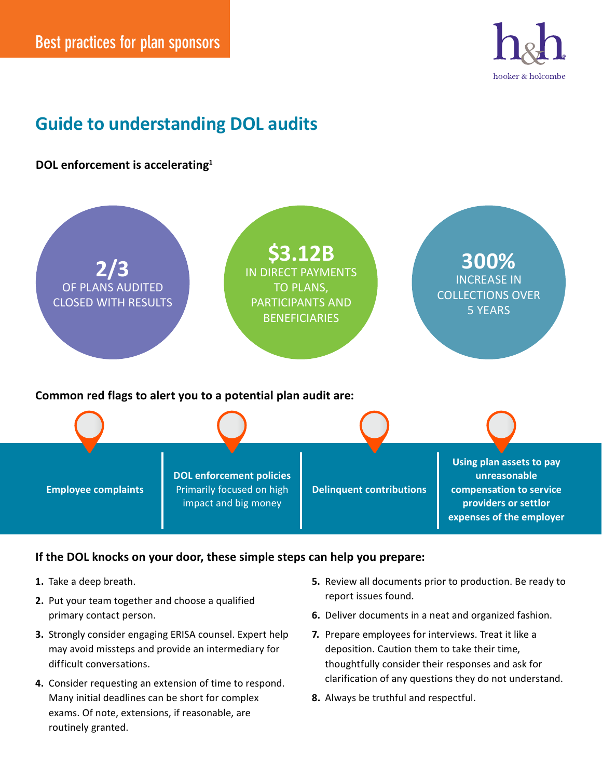

## **Guide to understanding DOL audits**

## **DOL enforcement is accelerating1**



## **If the DOL knocks on your door, these simple steps can help you prepare:**

- **1.** Take a deep breath.
- **2.** Put your team together and choose a qualified primary contact person.
- **3.** Strongly consider engaging ERISA counsel. Expert help may avoid missteps and provide an intermediary for difficult conversations.
- **4.** Consider requesting an extension of time to respond. Many initial deadlines can be short for complex exams. Of note, extensions, if reasonable, are routinely granted.
- **5.** Review all documents prior to production. Be ready to report issues found.
- **6.** Deliver documents in a neat and organized fashion.
- **7.** Prepare employees for interviews. Treat it like a deposition. Caution them to take their time, thoughtfully consider their responses and ask for clarification of any questions they do not understand.
- **8.** Always be truthful and respectful.